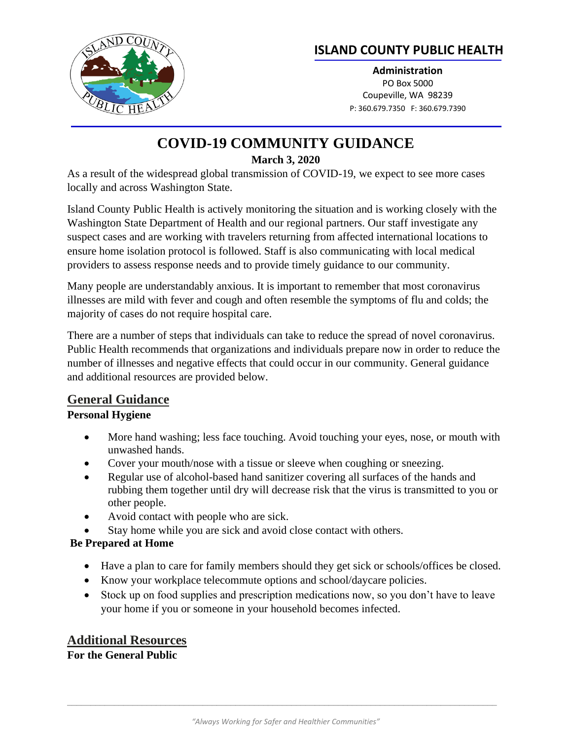

## **ISLAND COUNTY PUBLIC HEALTH**

**Administration** PO Box 5000 Coupeville, WA 98239 P: 360.679.7350 F: 360.679.7390

# **COVID-19 COMMUNITY GUIDANCE March 3, 2020**

As a result of the widespread global transmission of COVID-19, we expect to see more cases locally and across Washington State.

Island County Public Health is actively monitoring the situation and is working closely with the Washington State Department of Health and our regional partners. Our staff investigate any suspect cases and are working with travelers returning from affected international locations to ensure home isolation protocol is followed. Staff is also communicating with local medical providers to assess response needs and to provide timely guidance to our community.

Many people are understandably anxious. It is important to remember that most coronavirus illnesses are mild with fever and cough and often resemble the symptoms of flu and colds; the majority of cases do not require hospital care.

There are a number of steps that individuals can take to reduce the spread of novel coronavirus. Public Health recommends that organizations and individuals prepare now in order to reduce the number of illnesses and negative effects that could occur in our community. General guidance and additional resources are provided below.

### **General Guidance**

#### **Personal Hygiene**

- More hand washing; less face touching. Avoid touching your eyes, nose, or mouth with unwashed hands.
- Cover your mouth/nose with a tissue or sleeve when coughing or sneezing.
- Regular use of alcohol-based hand sanitizer covering all surfaces of the hands and rubbing them together until dry will decrease risk that the virus is transmitted to you or other people.
- Avoid contact with people who are sick.
- Stay home while you are sick and avoid close contact with others.

### **Be Prepared at Home**

- Have a plan to care for family members should they get sick or schools/offices be closed.
- Know your workplace telecommute options and school/daycare policies.
- Stock up on food supplies and prescription medications now, so you don't have to leave your home if you or someone in your household becomes infected.

### **Additional Resources**

**For the General Public**

 $\_$  ,  $\_$  ,  $\_$  ,  $\_$  ,  $\_$  ,  $\_$  ,  $\_$  ,  $\_$  ,  $\_$  ,  $\_$  ,  $\_$  ,  $\_$  ,  $\_$  ,  $\_$  ,  $\_$  ,  $\_$  ,  $\_$  ,  $\_$  ,  $\_$  ,  $\_$  ,  $\_$  ,  $\_$  ,  $\_$  ,  $\_$  ,  $\_$  ,  $\_$  ,  $\_$  ,  $\_$  ,  $\_$  ,  $\_$  ,  $\_$  ,  $\_$  ,  $\_$  ,  $\_$  ,  $\_$  ,  $\_$  ,  $\_$  ,